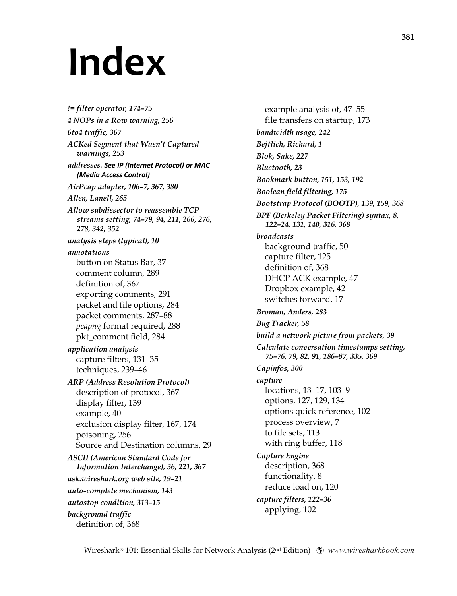## **Index**

*!= filter operator, 174–75 4 NOPs in a Row warning, 256 6to4 traffic, 367 ACKed Segment that Wasn't Captured warnings, 253 addresses. See IP (Internet Protocol) or MAC (Media Access Control) AirPcap adapter, 106–7, 367, 380 Allen, Lanell, 265 Allow subdissector to reassemble TCP streams setting, 74–79, 94, 211, 266, 276, 278, 342, 352 analysis steps (typical), 10 annotations*  button on Status Bar, 37 comment column, 289 definition of, 367 exporting comments, 291 packet and file options, 284 packet comments, 287–88 *pcapng* format required, 288 pkt\_comment field, 284 *application analysis*  capture filters, 131–35 techniques, 239–46 *ARP (Address Resolution Protocol)*  description of protocol, 367 display filter, 139 example, 40 exclusion display filter, 167, 174 poisoning, 256 Source and Destination columns, 29 *ASCII (American Standard Code for Information Interchange), 36, 221, 367 ask.wireshark.org web site, 19–21 auto-complete mechanism, 143 autostop condition, 313–15 background traffic*  definition of, 368

example analysis of, 47–55 file transfers on startup, 173 *bandwidth usage, 242 Bejtlich, Richard, 1 Blok, Sake, 227 Bluetooth, 23 Bookmark button, 151, 153, 192 Boolean field filtering, 175 Bootstrap Protocol (BOOTP), 139, 159, 368 BPF (Berkeley Packet Filtering) syntax, 8, 122–24, 131, 140, 316, 368 broadcasts*  background traffic, 50 capture filter, 125 definition of, 368 DHCP ACK example, 47 Dropbox example, 42 switches forward, 17 *Broman, Anders, 283 Bug Tracker, 58 build a network picture from packets, 39 Calculate conversation timestamps setting, 75–76, 79, 82, 91, 186–87, 335, 369 Capinfos, 300 capture*  locations, 13–17, 103–9 options, 127, 129, 134 options quick reference, 102 process overview, 7 to file sets, 113 with ring buffer, 118 *Capture Engine*  description, 368 functionality, 8 reduce load on, 120 *capture filters, 122–36*  applying, 102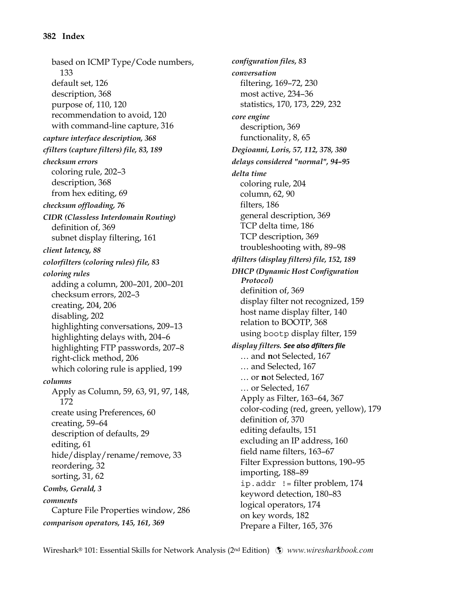based on ICMP Type/Code numbers, 133 default set, 126 description, 368 purpose of, 110, 120 recommendation to avoid, 120 with command-line capture, 316 *capture interface description, 368 cfilters (capture filters) file, 83, 189 checksum errors*  coloring rule, 202–3 description, 368 from hex editing, 69 *checksum offloading, 76 CIDR (Classless Interdomain Routing)*  definition of, 369 subnet display filtering, 161 *client latency, 88 colorfilters (coloring rules) file, 83 coloring rules*  adding a column, 200–201, 200–201 checksum errors, 202–3 creating, 204, 206 disabling, 202 highlighting conversations, 209–13 highlighting delays with, 204–6 highlighting FTP passwords, 207–8 right-click method, 206 which coloring rule is applied, 199 *columns*  Apply as Column, 59, 63, 91, 97, 148, 172 create using Preferences, 60 creating, 59–64 description of defaults, 29 editing, 61 hide/display/rename/remove, 33 reordering, 32 sorting, 31, 62 *Combs, Gerald, 3 comments*  Capture File Properties window, 286 *comparison operators, 145, 161, 369* 

*configuration files, 83 conversation*  filtering, 169–72, 230 most active, 234–36 statistics, 170, 173, 229, 232 *core engine*  description, 369 functionality, 8, 65 *Degioanni, Loris, 57, 112, 378, 380 delays considered "normal", 94–95 delta time*  coloring rule, 204 column, 62, 90 filters, 186 general description, 369 TCP delta time, 186 TCP description, 369 troubleshooting with, 89–98 *dfilters (display filters) file, 152, 189 DHCP (Dynamic Host Configuration Protocol)*  definition of, 369 display filter not recognized, 159 host name display filter, 140 relation to BOOTP, 368 using bootp display filter, 159 *display filters. See also dfilters file* … and **n**ot Selected, 167 … and Selected, 167 … or **n**ot Selected, 167 … or Selected, 167 Apply as Filter, 163–64, 367 color-coding (red, green, yellow), 179 definition of, 370 editing defaults, 151 excluding an IP address, 160 field name filters, 163–67 Filter Expression buttons, 190–95 importing, 188–89  $ip.addr$  ! = filter problem, 174 keyword detection, 180–83 logical operators, 174 on key words, 182 Prepare a Filter, 165, 376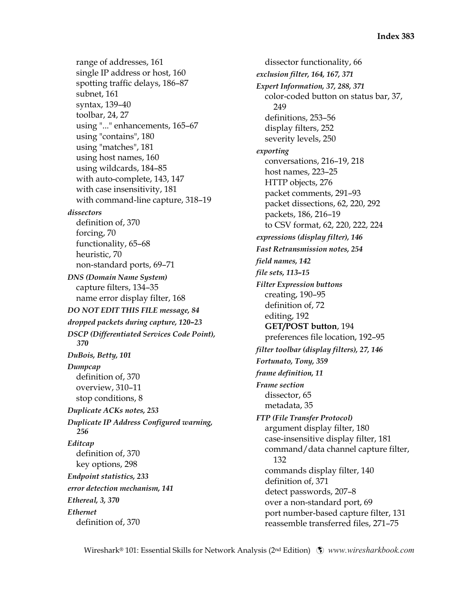range of addresses, 161 single IP address or host, 160 spotting traffic delays, 186–87 subnet, 161 syntax, 139–40 toolbar, 24, 27 using "..." enhancements, 165–67 using "contains", 180 using "matches", 181 using host names, 160 using wildcards, 184–85 with auto-complete, 143, 147 with case insensitivity, 181 with command-line capture, 318–19 *dissectors*  definition of, 370 forcing, 70 functionality, 65–68 heuristic, 70 non-standard ports, 69–71 *DNS (Domain Name System)*  capture filters, 134–35 name error display filter, 168 *DO NOT EDIT THIS FILE message, 84 dropped packets during capture, 120–23 DSCP (Differentiated Services Code Point), 370 DuBois, Betty, 101 Dumpcap*  definition of, 370 overview, 310–11 stop conditions, 8 *Duplicate ACKs notes, 253 Duplicate IP Address Configured warning, 256 Editcap*  definition of, 370 key options, 298 *Endpoint statistics, 233 error detection mechanism, 141 Ethereal, 3, 370 Ethernet*  definition of, 370

dissector functionality, 66 *exclusion filter, 164, 167, 371 Expert Information, 37, 288, 371*  color-coded button on status bar, 37, 249 definitions, 253–56 display filters, 252 severity levels, 250 *exporting*  conversations, 216–19, 218 host names, 223–25 HTTP objects, 276 packet comments, 291–93 packet dissections, 62, 220, 292 packets, 186, 216–19 to CSV format, 62, 220, 222, 224 *expressions (display filter), 146 Fast Retransmission notes, 254 field names, 142 file sets, 113–15 Filter Expression buttons*  creating, 190–95 definition of, 72 editing, 192 **GET/POST button**, 194 preferences file location, 192–95 *filter toolbar (display filters), 27, 146 Fortunato, Tony, 359 frame definition, 11 Frame section*  dissector, 65 metadata, 35 *FTP (File Transfer Protocol)*  argument display filter, 180 case-insensitive display filter, 181 command/data channel capture filter, 132 commands display filter, 140 definition of, 371 detect passwords, 207–8 over a non-standard port, 69 port number-based capture filter, 131 reassemble transferred files, 271–75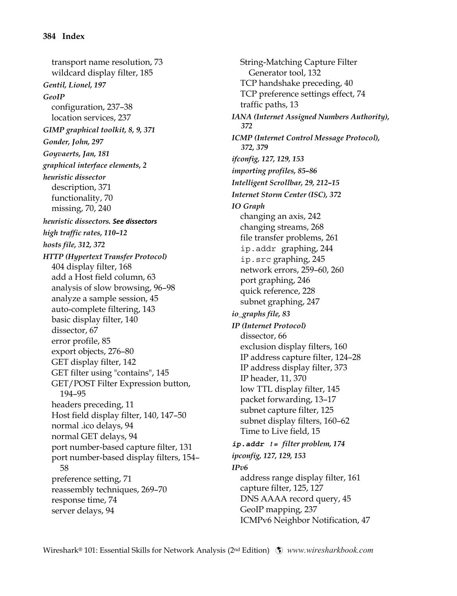transport name resolution, 73 wildcard display filter, 185 *Gentil, Lionel, 197 GeoIP*  configuration, 237–38 location services, 237 *GIMP graphical toolkit, 8, 9, 371 Gonder, John, 297 Goyvaerts, Jan, 181 graphical interface elements, 2 heuristic dissector*  description, 371 functionality, 70 missing, 70, 240 *heuristic dissectors. See dissectors high traffic rates, 110–12 hosts file, 312, 372 HTTP (Hypertext Transfer Protocol)*  404 display filter, 168 add a Host field column, 63 analysis of slow browsing, 96–98 analyze a sample session, 45 auto-complete filtering, 143 basic display filter, 140 dissector, 67 error profile, 85 export objects, 276–80 GET display filter, 142 GET filter using "contains", 145 GET/POST Filter Expression button, 194–95 headers preceding, 11 Host field display filter, 140, 147–50 normal .ico delays, 94 normal GET delays, 94 port number-based capture filter, 131 port number-based display filters, 154– 58 preference setting, 71 reassembly techniques, 269–70 response time, 74 server delays, 94

String-Matching Capture Filter Generator tool, 132 TCP handshake preceding, 40 TCP preference settings effect, 74 traffic paths, 13 *IANA (Internet Assigned Numbers Authority), 372 ICMP (Internet Control Message Protocol), 372, 379 ifconfig, 127, 129, 153 importing profiles, 85–86 Intelligent Scrollbar, 29, 212–15 Internet Storm Center (ISC), 372 IO Graph*  changing an axis, 242 changing streams, 268 file transfer problems, 261 ip.addr graphing, 244 ip.src graphing, 245 network errors, 259–60, 260 port graphing, 246 quick reference, 228 subnet graphing, 247 *io\_graphs file, 83 IP (Internet Protocol)*  dissector, 66 exclusion display filters, 160 IP address capture filter, 124–28 IP address display filter, 373 IP header, 11, 370 low TTL display filter, 145 packet forwarding, 13–17 subnet capture filter, 125 subnet display filters, 160–62 Time to Live field, 15 *ip.addr != filter problem, 174 ipconfig, 127, 129, 153 IPv6*  address range display filter, 161 capture filter, 125, 127 DNS AAAA record query, 45 GeoIP mapping, 237 ICMPv6 Neighbor Notification, 47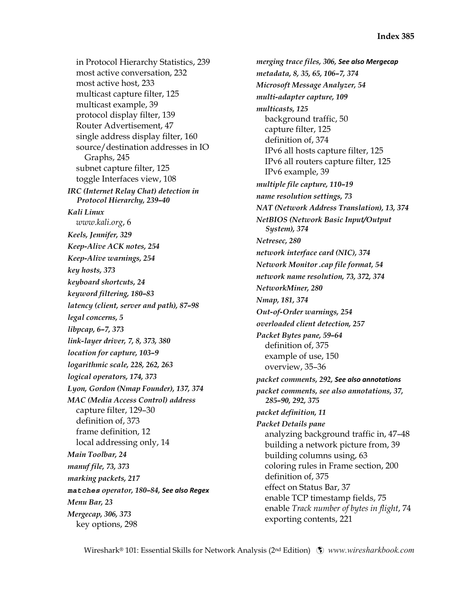in Protocol Hierarchy Statistics, 239 most active conversation, 232 most active host, 233 multicast capture filter, 125 multicast example, 39 protocol display filter, 139 Router Advertisement, 47 single address display filter, 160 source/destination addresses in IO Graphs, 245 subnet capture filter, 125 toggle Interfaces view, 108 *IRC (Internet Relay Chat) detection in Protocol Hierarchy, 239–40 Kali Linux www.kali.org*, 6 *Keels, Jennifer, 329 Keep-Alive ACK notes, 254 Keep-Alive warnings, 254 key hosts, 373 keyboard shortcuts, 24 keyword filtering, 180–83 latency (client, server and path), 87–98 legal concerns, 5 libpcap, 6–7, 373 link-layer driver, 7, 8, 373, 380 location for capture, 103–9 logarithmic scale, 228, 262, 263 logical operators, 174, 373 Lyon, Gordon (Nmap Founder), 137, 374 MAC (Media Access Control) address*  capture filter, 129–30 definition of, 373 frame definition, 12 local addressing only, 14 *Main Toolbar, 24 manuf file, 73, 373 marking packets, 217 matches operator, 180–84, See also Regex Menu Bar, 23 Mergecap, 306, 373*  key options, 298

*merging trace files, 306, See also Mergecap metadata, 8, 35, 65, 106–7, 374 Microsoft Message Analyzer, 54 multi-adapter capture, 109 multicasts, 125*  background traffic, 50 capture filter, 125 definition of, 374 IPv6 all hosts capture filter, 125 IPv6 all routers capture filter, 125 IPv6 example, 39 *multiple file capture, 110–19 name resolution settings, 73 NAT (Network Address Translation), 13, 374 NetBIOS (Network Basic Input/Output System), 374 Netresec, 280 network interface card (NIC), 374 Network Monitor .cap file format, 54 network name resolution, 73, 372, 374 NetworkMiner, 280 Nmap, 181, 374 Out-of-Order warnings, 254 overloaded client detection, 257 Packet Bytes pane, 59–64*  definition of, 375 example of use, 150 overview, 35–36 *packet comments, 292, See also annotations packet comments, see also annotations, 37, 285–90, 292, 375 packet definition, 11 Packet Details pane*  analyzing background traffic in, 47–48 building a network picture from, 39 building columns using, 63 coloring rules in Frame section, 200 definition of, 375 effect on Status Bar, 37 enable TCP timestamp fields, 75 enable *Track number of bytes in flight*, 74 exporting contents, 221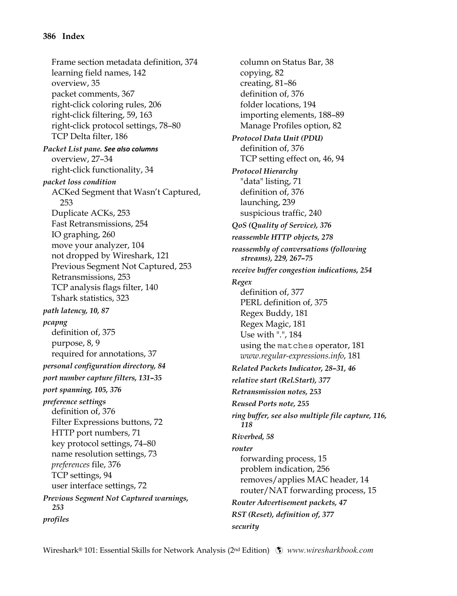Frame section metadata definition, 374 learning field names, 142 overview, 35 packet comments, 367 right-click coloring rules, 206 right-click filtering, 59, 163 right-click protocol settings, 78–80 TCP Delta filter, 186 *Packet List pane. See also columns* overview, 27–34 right-click functionality, 34 *packet loss condition*  ACKed Segment that Wasn't Captured, 253 Duplicate ACKs, 253 Fast Retransmissions, 254 IO graphing, 260 move your analyzer, 104 not dropped by Wireshark, 121 Previous Segment Not Captured, 253 Retransmissions, 253 TCP analysis flags filter, 140 Tshark statistics, 323 *path latency, 10, 87 pcapng*  definition of, 375 purpose, 8, 9 required for annotations, 37 *personal configuration directory, 84 port number capture filters, 131–35 port spanning, 105, 376 preference settings*  definition of, 376 Filter Expressions buttons, 72 HTTP port numbers, 71 key protocol settings, 74–80 name resolution settings, 73 *preferences* file, 376 TCP settings, 94 user interface settings, 72 *Previous Segment Not Captured warnings, 253 profiles* 

column on Status Bar, 38 copying, 82 creating, 81–86 definition of, 376 folder locations, 194 importing elements, 188–89 Manage Profiles option, 82 *Protocol Data Unit (PDU)*  definition of, 376 TCP setting effect on, 46, 94 *Protocol Hierarchy*  "data" listing, 71 definition of, 376 launching, 239 suspicious traffic, 240 *QoS (Quality of Service), 376 reassemble HTTP objects, 278 reassembly of conversations (following streams), 229, 267–75 receive buffer congestion indications, 254 Regex*  definition of, 377 PERL definition of, 375 Regex Buddy, 181 Regex Magic, 181 Use with ".", 184 using the matches operator, 181 *www.regular-expressions.info*, 181 *Related Packets Indicator, 28–31, 46 relative start (Rel.Start), 377 Retransmission notes, 253 Reused Ports note, 255 ring buffer, see also multiple file capture, 116, 118 Riverbed, 58 router*  forwarding process, 15 problem indication, 256 removes/applies MAC header, 14 router/NAT forwarding process, 15 *Router Advertisement packets, 47 RST (Reset), definition of, 377 security*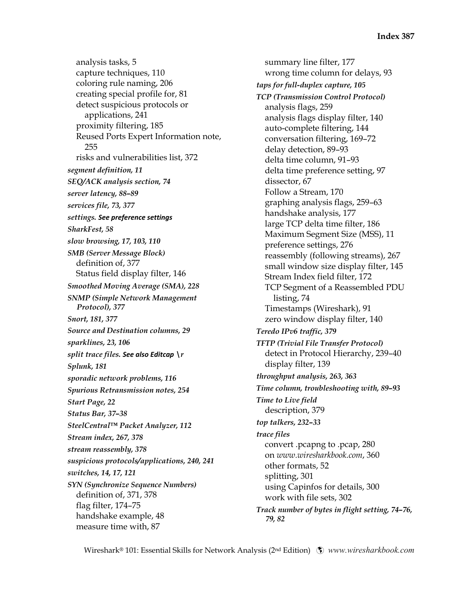analysis tasks, 5 capture techniques, 110 coloring rule naming, 206 creating special profile for, 81 detect suspicious protocols or applications, 241 proximity filtering, 185 Reused Ports Expert Information note, 255 risks and vulnerabilities list, 372 *segment definition, 11 SEQ/ACK analysis section, 74 server latency, 88–89 services file, 73, 377 settings. See preference settings SharkFest, 58 slow browsing, 17, 103, 110 SMB (Server Message Block)*  definition of, 377 Status field display filter, 146 *Smoothed Moving Average (SMA), 228 SNMP (Simple Network Management Protocol), 377 Snort, 181, 377 Source and Destination columns, 29 sparklines, 23, 106 split trace files. See also Editcap \r Splunk, 181 sporadic network problems, 116 Spurious Retransmission notes, 254 Start Page, 22 Status Bar, 37–38 SteelCentral™ Packet Analyzer, 112 Stream index, 267, 378 stream reassembly, 378 suspicious protocols/applications, 240, 241 switches, 14, 17, 121 SYN (Synchronize Sequence Numbers)*  definition of, 371, 378 flag filter, 174–75 handshake example, 48 measure time with, 87

summary line filter, 177 wrong time column for delays, 93 *taps for full-duplex capture, 105 TCP (Transmission Control Protocol)*  analysis flags, 259 analysis flags display filter, 140 auto-complete filtering, 144 conversation filtering, 169–72 delay detection, 89–93 delta time column, 91–93 delta time preference setting, 97 dissector, 67 Follow a Stream, 170 graphing analysis flags, 259–63 handshake analysis, 177 large TCP delta time filter, 186 Maximum Segment Size (MSS), 11 preference settings, 276 reassembly (following streams), 267 small window size display filter, 145 Stream Index field filter, 172 TCP Segment of a Reassembled PDU listing, 74 Timestamps (Wireshark), 91 zero window display filter, 140 *Teredo IPv6 traffic, 379 TFTP (Trivial File Transfer Protocol)*  detect in Protocol Hierarchy, 239–40 display filter, 139 *throughput analysis, 263, 363 Time column, troubleshooting with, 89–93 Time to Live field*  description, 379 *top talkers, 232–33 trace files*  convert .pcapng to .pcap, 280 on *www.wiresharkbook.com*, 360 other formats, 52 splitting, 301 using Capinfos for details, 300 work with file sets, 302 *Track number of bytes in flight setting, 74–76, 79, 82*